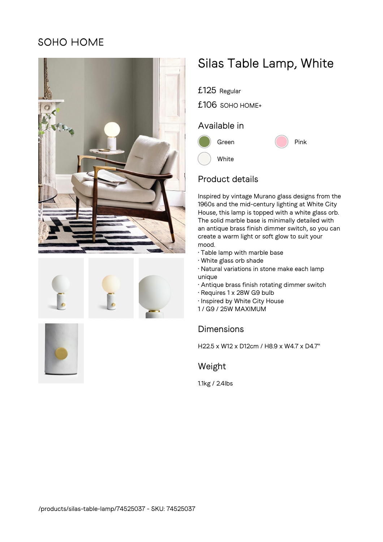# SOHO HOME













£106 SOHO HOME+

## Available in



### Product details

Inspired by vintage Murano glass designs from the 1960s and the mid-century lighting at White City House, this lamp is topped with a white glass orb. The solid marble base is minimally detailed with an antique brass finish dimmer switch, so you can create a warm light or soft glow to suit your mood.

- Table lamp with marble base
- White glass orb shade
- Natural variations in stone make each lamp unique
- Antique brass finish rotating dimmer switch
- Requires 1 x 28W G9 bulb
- Inspired by White City House
- 1 / G9 / 25W MAXIMUM

# Dimensions

H22.5 x W12 x D12cm / H8.9 x W4.7 x D4.7"

### Weight

1.1kg / 2.4lbs